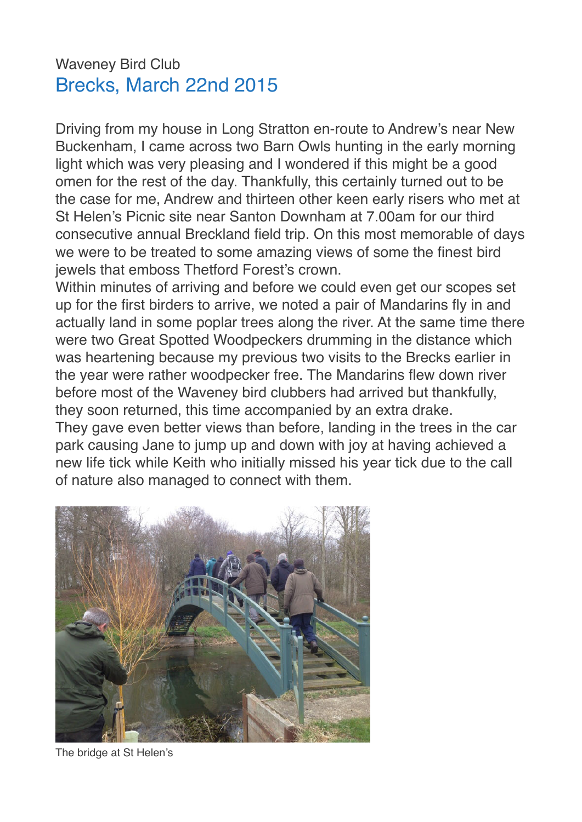## Waveney Bird Club Brecks, March 22nd 2015

Driving from my house in Long Stratton en-route to Andrew's near New Buckenham, I came across two Barn Owls hunting in the early morning light which was very pleasing and I wondered if this might be a good omen for the rest of the day. Thankfully, this certainly turned out to be the case for me, Andrew and thirteen other keen early risers who met at St Helen's Picnic site near Santon Downham at 7.00am for our third consecutive annual Breckland field trip. On this most memorable of days we were to be treated to some amazing views of some the finest bird jewels that emboss Thetford Forest's crown.

Within minutes of arriving and before we could even get our scopes set up for the first birders to arrive, we noted a pair of Mandarins fly in and actually land in some poplar trees along the river. At the same time there were two Great Spotted Woodpeckers drumming in the distance which was heartening because my previous two visits to the Brecks earlier in the year were rather woodpecker free. The Mandarins flew down river before most of the Waveney bird clubbers had arrived but thankfully, they soon returned, this time accompanied by an extra drake. They gave even better views than before, landing in the trees in the car

park causing Jane to jump up and down with joy at having achieved a new life tick while Keith who initially missed his year tick due to the call of nature also managed to connect with them.



The bridge at St Helen's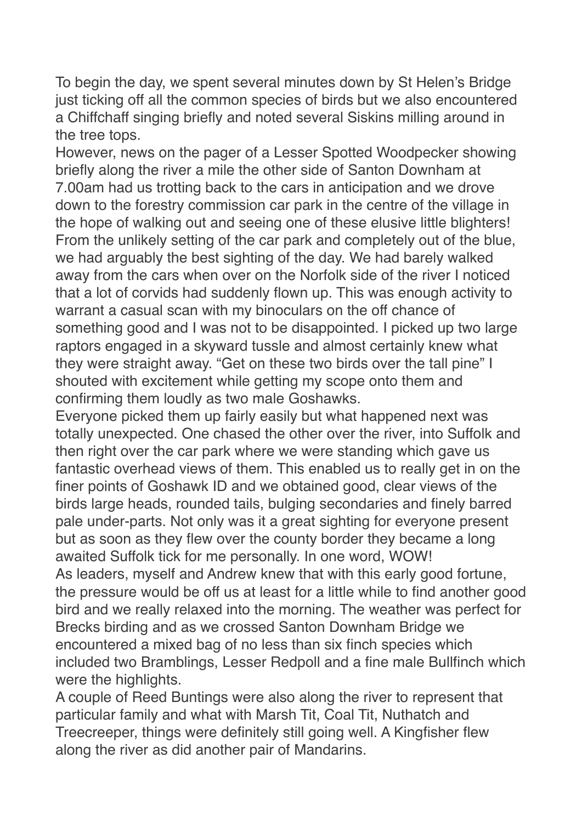To begin the day, we spent several minutes down by St Helen's Bridge just ticking off all the common species of birds but we also encountered a Chiffchaff singing briefly and noted several Siskins milling around in the tree tops.

However, news on the pager of a Lesser Spotted Woodpecker showing briefly along the river a mile the other side of Santon Downham at 7.00am had us trotting back to the cars in anticipation and we drove down to the forestry commission car park in the centre of the village in the hope of walking out and seeing one of these elusive little blighters! From the unlikely setting of the car park and completely out of the blue, we had arguably the best sighting of the day. We had barely walked away from the cars when over on the Norfolk side of the river I noticed that a lot of corvids had suddenly flown up. This was enough activity to warrant a casual scan with my binoculars on the off chance of something good and I was not to be disappointed. I picked up two large raptors engaged in a skyward tussle and almost certainly knew what they were straight away. "Get on these two birds over the tall pine" I shouted with excitement while getting my scope onto them and confirming them loudly as two male Goshawks.

Everyone picked them up fairly easily but what happened next was totally unexpected. One chased the other over the river, into Suffolk and then right over the car park where we were standing which gave us fantastic overhead views of them. This enabled us to really get in on the finer points of Goshawk ID and we obtained good, clear views of the birds large heads, rounded tails, bulging secondaries and finely barred pale under-parts. Not only was it a great sighting for everyone present but as soon as they flew over the county border they became a long awaited Suffolk tick for me personally. In one word, WOW!

As leaders, myself and Andrew knew that with this early good fortune, the pressure would be off us at least for a little while to find another good bird and we really relaxed into the morning. The weather was perfect for Brecks birding and as we crossed Santon Downham Bridge we encountered a mixed bag of no less than six finch species which included two Bramblings, Lesser Redpoll and a fine male Bullfinch which were the highlights.

A couple of Reed Buntings were also along the river to represent that particular family and what with Marsh Tit, Coal Tit, Nuthatch and Treecreeper, things were definitely still going well. A Kingfisher flew along the river as did another pair of Mandarins.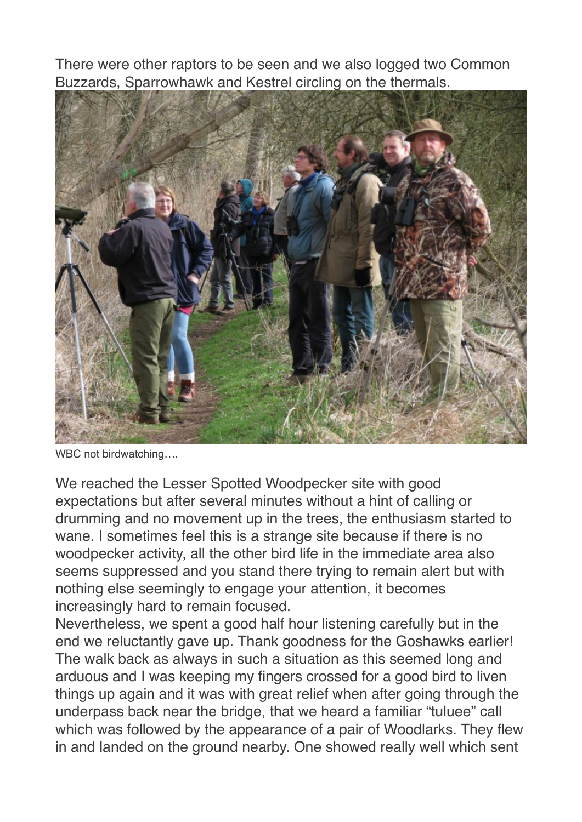There were other raptors to be seen and we also logged two Common Buzzards, Sparrowhawk and Kestrel circling on the thermals.



WBC not birdwatching….

We reached the Lesser Spotted Woodpecker site with good expectations but after several minutes without a hint of calling or drumming and no movement up in the trees, the enthusiasm started to wane. I sometimes feel this is a strange site because if there is no woodpecker activity, all the other bird life in the immediate area also seems suppressed and you stand there trying to remain alert but with nothing else seemingly to engage your attention, it becomes increasingly hard to remain focused.

Nevertheless, we spent a good half hour listening carefully but in the end we reluctantly gave up. Thank goodness for the Goshawks earlier! The walk back as always in such a situation as this seemed long and arduous and I was keeping my fingers crossed for a good bird to liven things up again and it was with great relief when after going through the underpass back near the bridge, that we heard a familiar "tuluee" call which was followed by the appearance of a pair of Woodlarks. They flew in and landed on the ground nearby. One showed really well which sent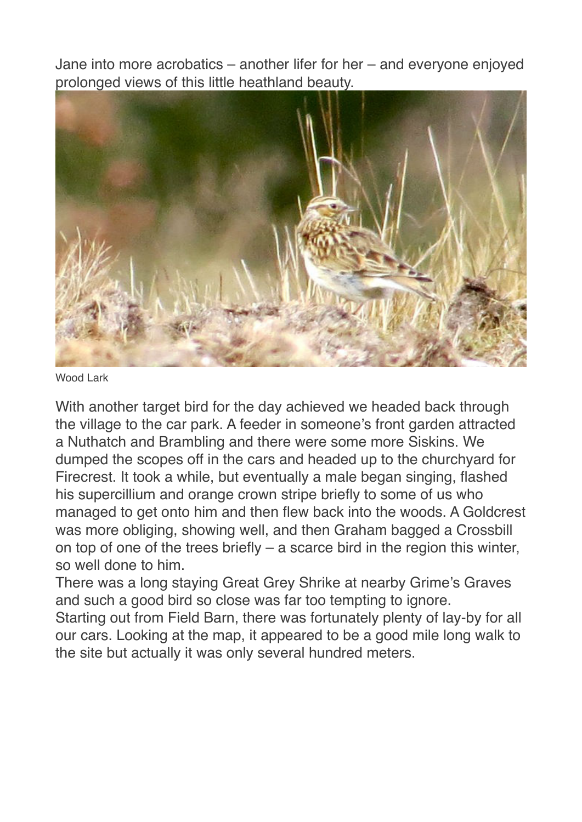Jane into more acrobatics – another lifer for her – and everyone enjoyed prolonged views of this little heathland beauty.



Wood Lark

With another target bird for the day achieved we headed back through the village to the car park. A feeder in someone's front garden attracted a Nuthatch and Brambling and there were some more Siskins. We dumped the scopes off in the cars and headed up to the churchyard for Firecrest. It took a while, but eventually a male began singing, flashed his supercillium and orange crown stripe briefly to some of us who managed to get onto him and then flew back into the woods. A Goldcrest was more obliging, showing well, and then Graham bagged a Crossbill on top of one of the trees briefly – a scarce bird in the region this winter, so well done to him.

There was a long staying Great Grey Shrike at nearby Grime's Graves and such a good bird so close was far too tempting to ignore.

Starting out from Field Barn, there was fortunately plenty of lay-by for all our cars. Looking at the map, it appeared to be a good mile long walk to the site but actually it was only several hundred meters.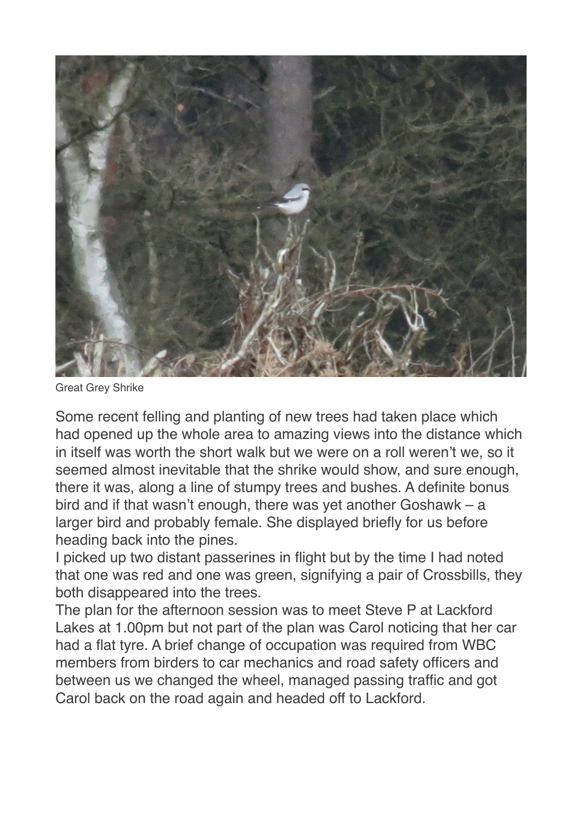

Great Grey Shrike

Some recent felling and planting of new trees had taken place which had opened up the whole area to amazing views into the distance which in itself was worth the short walk but we were on a roll weren't we, so it seemed almost inevitable that the shrike would show, and sure enough, there it was, along a line of stumpy trees and bushes. A definite bonus bird and if that wasn't enough, there was yet another Goshawk – a larger bird and probably female. She displayed briefly for us before heading back into the pines.

I picked up two distant passerines in flight but by the time I had noted that one was red and one was green, signifying a pair of Crossbills, they both disappeared into the trees.

The plan for the afternoon session was to meet Steve P at Lackford Lakes at 1.00pm but not part of the plan was Carol noticing that her car had a flat tyre. A brief change of occupation was required from WBC members from birders to car mechanics and road safety officers and between us we changed the wheel, managed passing traffic and got Carol back on the road again and headed off to Lackford.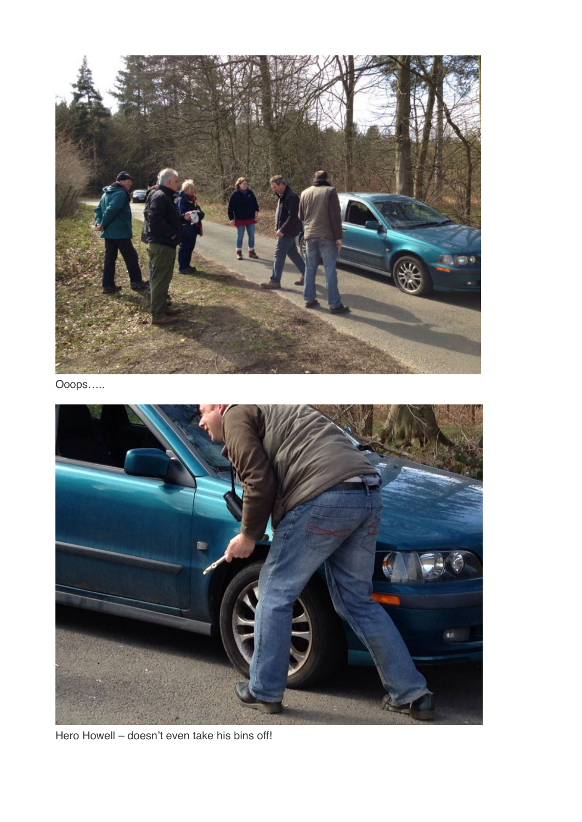

Ooops…..



Hero Howell – doesn't even take his bins off!